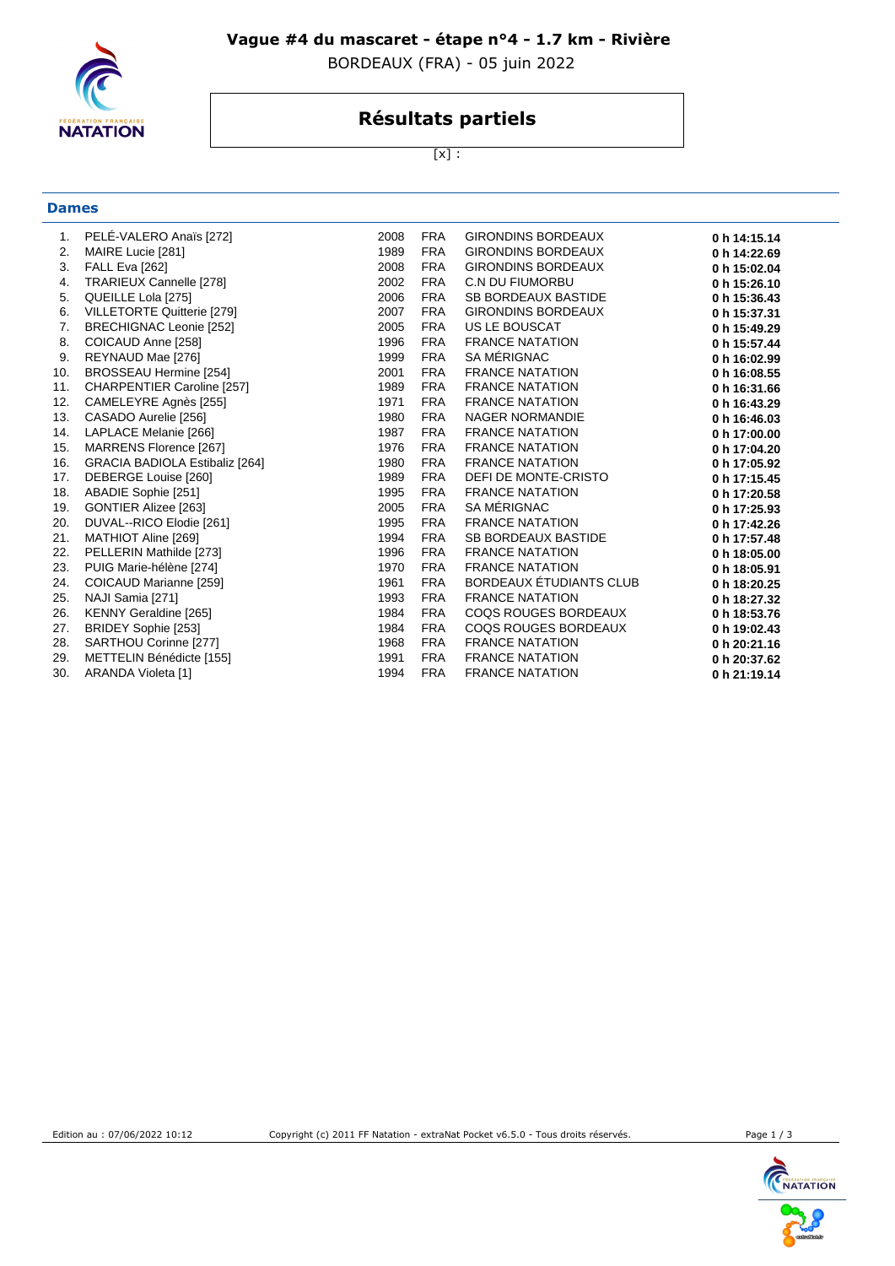

### **Vague #4 du mascaret - étape n°4 - 1.7 km - Rivière**

BORDEAUX (FRA) - 05 juin 2022

# **Résultats partiels**

[x] :

# **Dames**

| 1.  | PELE-VALERO Anaïs [272]               | 2008 | <b>FRA</b> | <b>GIRONDINS BORDEAUX</b>   | 0 h 14:15.14 |
|-----|---------------------------------------|------|------------|-----------------------------|--------------|
| 2.  | MAIRE Lucie [281]                     | 1989 | <b>FRA</b> | <b>GIRONDINS BORDEAUX</b>   | 0 h 14:22.69 |
| 3.  | <b>FALL Eva [262]</b>                 | 2008 | <b>FRA</b> | GIRONDINS BORDEAUX          | 0 h 15:02.04 |
| 4.  | TRARIEUX Cannelle [278]               | 2002 | <b>FRA</b> | <b>C.N DU FIUMORBU</b>      | 0 h 15:26.10 |
| 5.  | QUEILLE Lola [275]                    | 2006 | <b>FRA</b> | SB BORDEAUX BASTIDE         | 0 h 15:36.43 |
| 6.  | VILLETORTE Quitterie [279]            | 2007 | FRA        | GIRONDINS BORDEAUX          | 0 h 15:37.31 |
| 7.  | BRECHIGNAC Leonie [252]               | 2005 | <b>FRA</b> | US LE BOUSCAT               | 0 h 15:49.29 |
| 8.  | COICAUD Anne [258]                    | 1996 | <b>FRA</b> | <b>FRANCE NATATION</b>      | 0 h 15:57.44 |
| 9.  | REYNAUD Mae [276]                     | 1999 | <b>FRA</b> | SA MÉRIGNAC                 | 0 h 16:02.99 |
| 10. | BROSSEAU Hermine [254]                | 2001 | <b>FRA</b> | <b>FRANCE NATATION</b>      | 0 h 16:08.55 |
| 11. | CHARPENTIER Caroline [257]            | 1989 | <b>FRA</b> | <b>FRANCE NATATION</b>      | 0 h 16:31.66 |
| 12. | CAMELEYRE Agnès [255]                 | 1971 | <b>FRA</b> | <b>FRANCE NATATION</b>      | 0 h 16:43.29 |
| 13. | CASADO Aurelie [256]                  | 1980 | <b>FRA</b> | NAGER NORMANDIE             | 0 h 16:46.03 |
| 14. | LAPLACE Melanie [266]                 | 1987 | <b>FRA</b> | <b>FRANCE NATATION</b>      | 0 h 17:00.00 |
| 15. | MARRENS Florence [267]                | 1976 | <b>FRA</b> | <b>FRANCE NATATION</b>      | 0 h 17:04.20 |
| 16. | <b>GRACIA BADIOLA Estibaliz [264]</b> | 1980 | <b>FRA</b> | <b>FRANCE NATATION</b>      | 0 h 17:05.92 |
| 17. | DEBERGE Louise [260]                  | 1989 | <b>FRA</b> | DEFI DE MONTE-CRISTO        | 0 h 17:15.45 |
| 18. | ABADIE Sophie [251]                   | 1995 | FRA        | <b>FRANCE NATATION</b>      | 0 h 17:20.58 |
| 19. | GONTIER Alizee [263]                  | 2005 | <b>FRA</b> | SA MÉRIGNAC                 | 0 h 17:25.93 |
| 20. | DUVAL--RICO Elodie [261]              | 1995 | <b>FRA</b> | <b>FRANCE NATATION</b>      | 0 h 17:42.26 |
| 21. | MATHIOT Aline [269]                   | 1994 | FRA        | SB BORDEAUX BASTIDE         | 0 h 17:57.48 |
| 22. | PELLERIN Mathilde [273]               | 1996 | <b>FRA</b> | <b>FRANCE NATATION</b>      | 0 h 18:05.00 |
| 23. | PUIG Marie-hélène [274]               | 1970 | <b>FRA</b> | <b>FRANCE NATATION</b>      | 0 h 18:05.91 |
| 24. | COICAUD Marianne [259]                | 1961 | <b>FRA</b> | BORDEAUX ÉTUDIANTS CLUB     | 0 h 18:20.25 |
| 25. | NAJI Samia [271]                      | 1993 | <b>FRA</b> | <b>FRANCE NATATION</b>      | 0 h 18:27.32 |
| 26. | KENNY Geraldine [265]                 | 1984 | <b>FRA</b> | COQS ROUGES BORDEAUX        | 0 h 18:53.76 |
| 27. | BRIDEY Sophie [253]                   | 1984 | <b>FRA</b> | <b>COQS ROUGES BORDEAUX</b> | 0 h 19:02.43 |
| 28. | SARTHOU Corinne [277]                 | 1968 | FRA        | <b>FRANCE NATATION</b>      | 0 h 20:21.16 |
| 29. | METTELIN Bénédicte [155]              | 1991 | <b>FRA</b> | <b>FRANCE NATATION</b>      | 0 h 20:37.62 |
| 30. | ARANDA Violeta [1]                    | 1994 | <b>FRA</b> | <b>FRANCE NATATION</b>      | 0 h 21:19.14 |



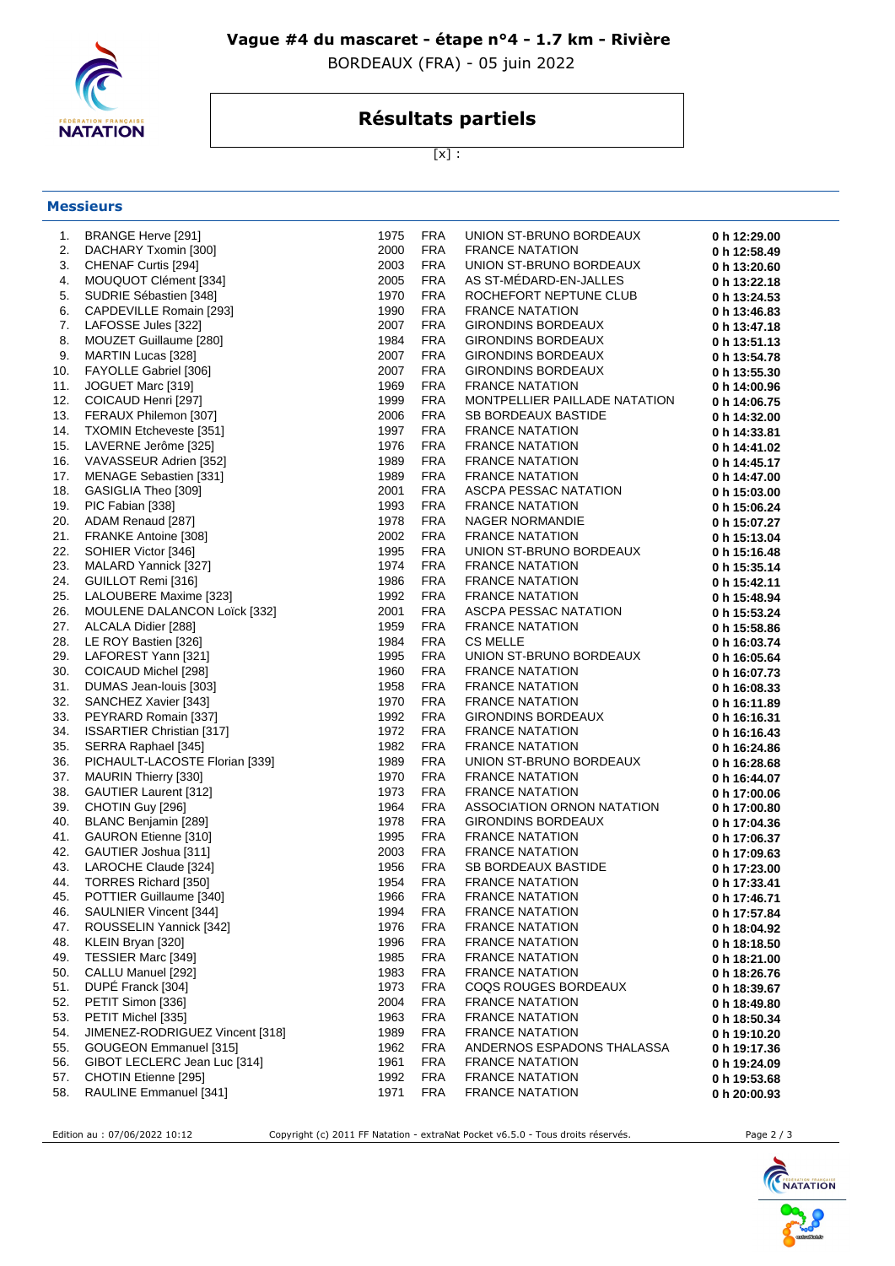

### **Vague #4 du mascaret - étape n°4 - 1.7 km - Rivière**

BORDEAUX (FRA) - 05 juin 2022

# **Résultats partiels**

 $[x]$  :

#### **Messieurs**

| 1.  | BRANGE Herve [291]               | 1975 | <b>FRA</b> | UNION ST-BRUNO BORDEAUX       | 0 h 12:29.00 |
|-----|----------------------------------|------|------------|-------------------------------|--------------|
| 2.  | DACHARY Txomin [300]             | 2000 | <b>FRA</b> | <b>FRANCE NATATION</b>        | 0 h 12:58.49 |
| 3.  | CHENAF Curtis [294]              | 2003 | <b>FRA</b> | UNION ST-BRUNO BORDEAUX       | 0 h 13:20.60 |
| 4.  | MOUQUOT Clément [334]            | 2005 | <b>FRA</b> | AS ST-MEDARD-EN-JALLES        | 0 h 13:22.18 |
| 5.  | SUDRIE Sébastien [348]           | 1970 | <b>FRA</b> | ROCHEFORT NEPTUNE CLUB        | 0 h 13:24.53 |
| 6.  | CAPDEVILLE Romain [293]          | 1990 | <b>FRA</b> | <b>FRANCE NATATION</b>        | 0 h 13:46.83 |
| 7.  | LAFOSSE Jules [322]              | 2007 | <b>FRA</b> | GIRONDINS BORDEAUX            | 0 h 13:47.18 |
| 8.  | MOUZET Guillaume [280]           | 1984 | <b>FRA</b> | GIRONDINS BORDEAUX            | 0 h 13:51.13 |
| 9.  | MARTIN Lucas [328]               | 2007 | <b>FRA</b> | GIRONDINS BORDEAUX            | 0 h 13:54.78 |
| 10. | FAYOLLE Gabriel [306]            | 2007 | <b>FRA</b> | GIRONDINS BORDEAUX            | 0 h 13:55.30 |
| 11. | JOGUET Marc [319]                | 1969 | <b>FRA</b> | <b>FRANCE NATATION</b>        | 0 h 14:00.96 |
| 12. | COICAUD Henri [297]              | 1999 | <b>FRA</b> | MONTPELLIER PAILLADE NATATION | 0 h 14:06.75 |
| 13. | FERAUX Philemon [307]            | 2006 | <b>FRA</b> | SB BORDEAUX BASTIDE           | 0 h 14:32.00 |
| 14. | <b>TXOMIN Etcheveste [351]</b>   | 1997 | <b>FRA</b> | <b>FRANCE NATATION</b>        | 0 h 14:33.81 |
| 15. | LAVERNE Jerôme [325]             | 1976 | <b>FRA</b> | <b>FRANCE NATATION</b>        | 0 h 14:41.02 |
| 16. | VAVASSEUR Adrien [352]           | 1989 | <b>FRA</b> | <b>FRANCE NATATION</b>        | 0 h 14:45.17 |
| 17. | MENAGE Sebastien [331]           | 1989 | <b>FRA</b> | <b>FRANCE NATATION</b>        | 0 h 14:47.00 |
| 18. | GASIGLIA Theo [309]              | 2001 | <b>FRA</b> | ASCPA PESSAC NATATION         | 0 h 15:03.00 |
| 19. | PIC Fabian [338]                 | 1993 | <b>FRA</b> | <b>FRANCE NATATION</b>        | 0 h 15:06.24 |
| 20. | ADAM Renaud [287]                | 1978 | <b>FRA</b> | NAGER NORMANDIE               | 0 h 15:07.27 |
| 21. | FRANKE Antoine [308]             | 2002 | <b>FRA</b> | <b>FRANCE NATATION</b>        | 0 h 15:13.04 |
| 22. | SOHIER Victor [346]              | 1995 | <b>FRA</b> | UNION ST-BRUNO BORDEAUX       | 0 h 15:16.48 |
| 23. | MALARD Yannick [327]             | 1974 | <b>FRA</b> | <b>FRANCE NATATION</b>        | 0 h 15:35.14 |
| 24. | GUILLOT Remi [316]               | 1986 | <b>FRA</b> | <b>FRANCE NATATION</b>        | 0 h 15:42.11 |
| 25. | LALOUBERE Maxime [323]           | 1992 | <b>FRA</b> | <b>FRANCE NATATION</b>        | 0 h 15:48.94 |
| 26. | MOULENE DALANCON Loïck [332]     | 2001 | <b>FRA</b> | ASCPA PESSAC NATATION         | 0 h 15:53.24 |
| 27. | ALCALA Didier [288]              | 1959 | <b>FRA</b> | <b>FRANCE NATATION</b>        | 0 h 15:58.86 |
| 28. | LE ROY Bastien [326]             | 1984 | <b>FRA</b> | <b>CS MELLE</b>               | 0 h 16:03.74 |
| 29. | LAFOREST Yann [321]              | 1995 | <b>FRA</b> | UNION ST-BRUNO BORDEAUX       | 0 h 16:05.64 |
| 30. | COICAUD Michel [298]             | 1960 | <b>FRA</b> | <b>FRANCE NATATION</b>        | 0 h 16:07.73 |
| 31. | DUMAS Jean-louis [303]           | 1958 | <b>FRA</b> | <b>FRANCE NATATION</b>        | 0 h 16:08.33 |
| 32. | SANCHEZ Xavier [343]             | 1970 | <b>FRA</b> | <b>FRANCE NATATION</b>        | 0 h 16:11.89 |
| 33. | PEYRARD Romain [337]             | 1992 | <b>FRA</b> | GIRONDINS BORDEAUX            | 0 h 16:16.31 |
| 34. | <b>ISSARTIER Christian [317]</b> | 1972 | <b>FRA</b> | <b>FRANCE NATATION</b>        | 0 h 16:16.43 |
| 35. | SERRA Raphael [345]              | 1982 | <b>FRA</b> | <b>FRANCE NATATION</b>        | 0 h 16:24.86 |
| 36. | PICHAULT-LACOSTE Florian [339]   | 1989 | <b>FRA</b> | UNION ST-BRUNO BORDEAUX       | 0 h 16:28.68 |
| 37. | MAURIN Thierry [330]             | 1970 | <b>FRA</b> | <b>FRANCE NATATION</b>        | 0 h 16:44.07 |
| 38. | GAUTIER Laurent [312]            | 1973 | <b>FRA</b> | <b>FRANCE NATATION</b>        | 0 h 17:00.06 |
| 39. | CHOTIN Guy [296]                 | 1964 | <b>FRA</b> | ASSOCIATION ORNON NATATION    | 0 h 17:00.80 |
| 40. | BLANC Benjamin [289]             | 1978 | <b>FRA</b> | GIRONDINS BORDEAUX            | 0 h 17:04.36 |
| 41. | GAURON Etienne [310]             | 1995 | <b>FRA</b> | <b>FRANCE NATATION</b>        | 0 h 17:06.37 |
| 42. | GAUTIER Joshua [311]             | 2003 | <b>FRA</b> | <b>FRANCE NATATION</b>        | 0 h 17:09.63 |
| 43. | LAROCHE Claude [324]             | 1956 | <b>FRA</b> | SB BORDEAUX BASTIDE           | 0 h 17:23.00 |
| 44. | TORRES Richard [350]             | 1954 | <b>FRA</b> | <b>FRANCE NATATION</b>        | 0 h 17:33.41 |
| 45. | POTTIER Guillaume [340]          | 1966 | <b>FRA</b> | <b>FRANCE NATATION</b>        | 0 h 17:46.71 |
| 46. | SAULNIER Vincent [344]           | 1994 | <b>FRA</b> | <b>FRANCE NATATION</b>        | 0 h 17:57.84 |
| 47. | ROUSSELIN Yannick [342]          | 1976 | <b>FRA</b> | <b>FRANCE NATATION</b>        | 0 h 18:04.92 |
| 48. | KLEIN Bryan [320]                | 1996 | <b>FRA</b> | <b>FRANCE NATATION</b>        | 0 h 18:18.50 |
| 49. | TESSIER Marc [349]               | 1985 | <b>FRA</b> | <b>FRANCE NATATION</b>        | 0 h 18:21.00 |
| 50. | CALLU Manuel [292]               | 1983 | <b>FRA</b> | <b>FRANCE NATATION</b>        | 0 h 18:26.76 |
| 51. | DUPÉ Franck [304]                | 1973 | <b>FRA</b> | <b>COQS ROUGES BORDEAUX</b>   | 0 h 18:39.67 |
| 52. | PETIT Simon [336]                | 2004 | <b>FRA</b> | <b>FRANCE NATATION</b>        | 0 h 18:49.80 |
| 53. | PETIT Michel [335]               | 1963 | <b>FRA</b> | <b>FRANCE NATATION</b>        | 0 h 18:50.34 |
| 54. | JIMENEZ-RODRIGUEZ Vincent [318]  | 1989 | <b>FRA</b> | <b>FRANCE NATATION</b>        | 0 h 19:10.20 |
| 55. | <b>GOUGEON Emmanuel [315]</b>    | 1962 | <b>FRA</b> | ANDERNOS ESPADONS THALASSA    | 0 h 19:17.36 |
| 56. | GIBOT LECLERC Jean Luc [314]     | 1961 | <b>FRA</b> | <b>FRANCE NATATION</b>        | 0 h 19:24.09 |
| 57. | CHOTIN Etienne [295]             | 1992 | <b>FRA</b> | <b>FRANCE NATATION</b>        | 0 h 19:53.68 |
| 58. | RAULINE Emmanuel [341]           | 1971 | <b>FRA</b> | <b>FRANCE NATATION</b>        | 0 h 20:00.93 |

Edition au : 07/06/2022 10:12 Copyright (c) 2011 FF Natation - extraNat Pocket v6.5.0 - Tous droits réservés. Page 2 / 3